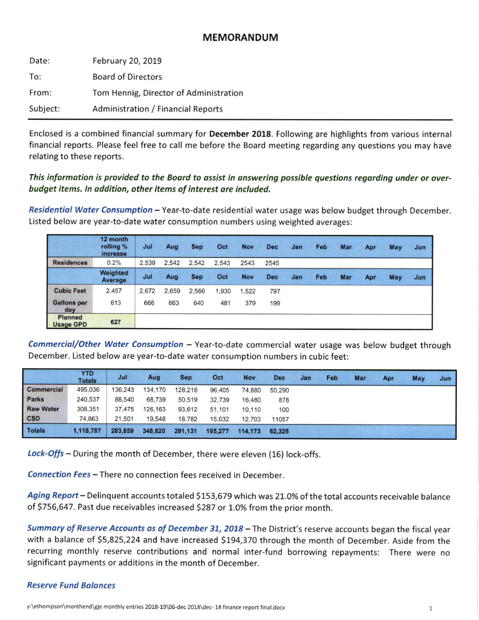# MEMORANDUM

| Date:    | February 20, 2019                         |
|----------|-------------------------------------------|
| To:      | <b>Board of Directors</b>                 |
| From:    | Tom Hennig, Director of Administration    |
| Subject: | <b>Administration / Financial Reports</b> |

Enclosed is a comblned financial summary for December 2018. Following are highlights from various internal financial reports. Please feel free to call me before the Board meeting regarding any questions you may have relating to these reports.

## This information is provided to the Board to assist in answering possible questions regarding under or overbudget items. ln oddition, other items of interest are included.

Residential Water Consumption - Year-to-date residential water usage was below budget through December. Listed below are year-to-date water consumption numbers using weighted averages:

|                                    | 12 month<br>rolling %<br>increase | Jul   | Aug   | <b>Sep</b> | Oct   | <b>Nov</b> | <b>Dec</b> | Jan | Feb | Mar | Apr | May | Jun |
|------------------------------------|-----------------------------------|-------|-------|------------|-------|------------|------------|-----|-----|-----|-----|-----|-----|
| <b>Residences</b>                  | 0.2%                              | 2,539 | 2,542 | 2.542      | 2.543 | 2543       | 2545       |     |     |     |     |     |     |
|                                    | Weighted<br>Average               | Jul   | Aug   | <b>Sep</b> | Oct   | <b>Nov</b> | <b>Dec</b> | Jan | Feb | Mar | Apr | May | Jun |
| <b>Cubic Feet</b>                  | 2.457                             | 2.672 | 2,659 | 2.566      | 1.930 | 1.522      | 797        |     |     |     |     |     |     |
| <b>Gallons per</b><br>day          | 613                               | 666   | 663   | 640        | 481   | 379        | 199        |     |     |     |     |     |     |
| <b>Planned</b><br><b>Usage GPD</b> | 627                               |       |       |            |       |            |            |     |     |     |     |     |     |

Commercial/Other Water Consumption - Year-to-date commercial water usage was below budget through December. Listed below are year-to-date water consumption numbers in cubic feet:

|                   | <b>YTD</b><br><b>Totals</b> | Jul     | Aug     | <b>Sep</b> | Oct     | <b>Nov</b> | <b>Dec</b> | Jan | Feb | Mar | Apr | May | Jun |
|-------------------|-----------------------------|---------|---------|------------|---------|------------|------------|-----|-----|-----|-----|-----|-----|
| <b>Commercial</b> | 495,036                     | 136,243 | 134,170 | 128,218    | 96,405  | 74,880     | 50,290     |     |     |     |     |     |     |
| <b>Parks</b>      | 240,537                     | 88,540  | 68,739  | 50.519     | 32,739  | 16,480     | 878        |     |     |     |     |     |     |
| <b>Raw Water</b>  | 308,351                     | 37,475  | 126,163 | 93,612     | 51,101  | 10,110     | 100        |     |     |     |     |     |     |
| <b>CSD</b>        | 74,863                      | 21,501  | 19,548  | 18,782     | 15.032  | 12,703     | 11057      |     |     |     |     |     |     |
| <b>Totals</b>     | 1,118,787                   | 283,859 | 348,620 | 291,131    | 195,277 | 114,173    | 62,325     |     |     |     |     |     |     |

Lock-Offs - During the month of December, there were eleven (16) lock-offs.

Connection Fees - There no connection fees received in December.

Aging Report - Delinquent accounts totaled \$153,679 which was 21.0% of the total accounts receivable balance of \$756,647. Past due receivables increased \$287 or 1.0% from the prior month.

Summary of Reserve Accounts as of December 31, 2018 - The District's reserve accounts began the fiscal year with a balance of \$5,825,224 and have increased \$194,370 through the month of December. Aside from the recurring monthly reserve contributions and normal inter-fund borrowing repayments: There were no significant payments or additions in the month of December.

### Reserve Fund Bolonces